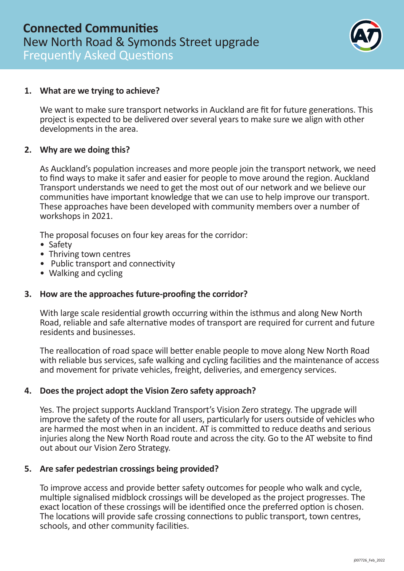

### **1. What are we trying to achieve?**

We want to make sure transport networks in Auckland are fit for future generations. This project is expected to be delivered over several years to make sure we align with other developments in the area.

### **2. Why are we doing this?**

As Auckland's population increases and more people join the transport network, we need to find ways to make it safer and easier for people to move around the region. Auckland Transport understands we need to get the most out of our network and we believe our communities have important knowledge that we can use to help improve our transport. These approaches have been developed with community members over a number of workshops in 2021.

The proposal focuses on four key areas for the corridor:

- Safety
- Thriving town centres
- Public transport and connectivity
- Walking and cycling

### **3. How are the approaches future-proofing the corridor?**

With large scale residential growth occurring within the isthmus and along New North Road, reliable and safe alternative modes of transport are required for current and future residents and businesses.

The reallocation of road space will better enable people to move along New North Road with reliable bus services, safe walking and cycling facilities and the maintenance of access and movement for private vehicles, freight, deliveries, and emergency services.

### **4. Does the project adopt the Vision Zero safety approach?**

Yes. The project supports Auckland Transport's Vision Zero strategy. The upgrade will improve the safety of the route for all users, particularly for users outside of vehicles who are harmed the most when in an incident. AT is committed to reduce deaths and serious injuries along the New North Road route and across the city. Go to the AT website to find out about our Vision Zero Strategy.

### **5. Are safer pedestrian crossings being provided?**

To improve access and provide better safety outcomes for people who walk and cycle, multiple signalised midblock crossings will be developed as the project progresses. The exact location of these crossings will be identified once the preferred option is chosen. The locations will provide safe crossing connections to public transport, town centres, schools, and other community facilities.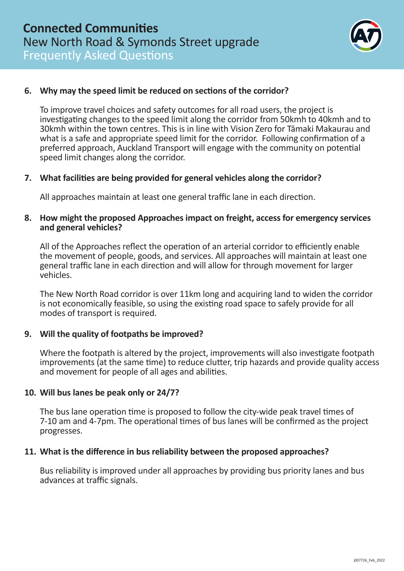

# **6. Why may the speed limit be reduced on sections of the corridor?**

To improve travel choices and safety outcomes for all road users, the project is investigating changes to the speed limit along the corridor from 50kmh to 40kmh and to 30kmh within the town centres. This is in line with Vision Zero for Tāmaki Makaurau and what is a safe and appropriate speed limit for the corridor. Following confirmation of a preferred approach, Auckland Transport will engage with the community on potential speed limit changes along the corridor.

### **7. What facilities are being provided for general vehicles along the corridor?**

All approaches maintain at least one general traffic lane in each direction.

### **8. How might the proposed Approaches impact on freight, access for emergency services and general vehicles?**

All of the Approaches reflect the operation of an arterial corridor to efficiently enable the movement of people, goods, and services. All approaches will maintain at least one general traffic lane in each direction and will allow for through movement for larger vehicles.

The New North Road corridor is over 11km long and acquiring land to widen the corridor is not economically feasible, so using the existing road space to safely provide for all modes of transport is required.

### **9. Will the quality of footpaths be improved?**

Where the footpath is altered by the project, improvements will also investigate footpath improvements (at the same time) to reduce clutter, trip hazards and provide quality access and movement for people of all ages and abilities.

### **10. Will bus lanes be peak only or 24/7?**

The bus lane operation time is proposed to follow the city-wide peak travel times of 7-10 am and 4-7pm. The operational times of bus lanes will be confirmed as the project progresses.

### **11. What is the difference in bus reliability between the proposed approaches?**

Bus reliability is improved under all approaches by providing bus priority lanes and bus advances at traffic signals.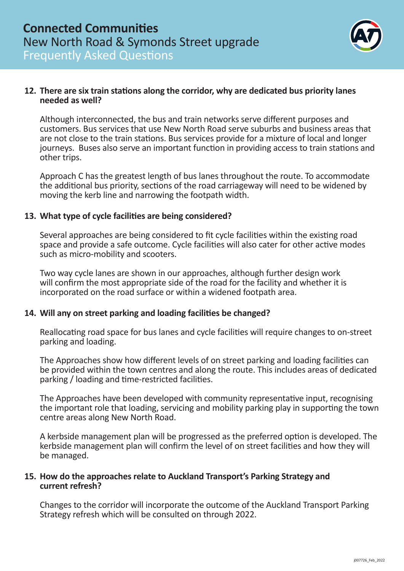

# **12. There are six train stations along the corridor, why are dedicated bus priority lanes needed as well?**

Although interconnected, the bus and train networks serve different purposes and customers. Bus services that use New North Road serve suburbs and business areas that are not close to the train stations. Bus services provide for a mixture of local and longer journeys. Buses also serve an important function in providing access to train stations and other trips.

Approach C has the greatest length of bus lanes throughout the route. To accommodate the additional bus priority, sections of the road carriageway will need to be widened by moving the kerb line and narrowing the footpath width.

# **13. What type of cycle facilities are being considered?**

Several approaches are being considered to fit cycle facilities within the existing road space and provide a safe outcome. Cycle facilities will also cater for other active modes such as micro-mobility and scooters.

Two way cycle lanes are shown in our approaches, although further design work will confirm the most appropriate side of the road for the facility and whether it is incorporated on the road surface or within a widened footpath area.

# **14. Will any on street parking and loading facilities be changed?**

Reallocating road space for bus lanes and cycle facilities will require changes to on-street parking and loading.

The Approaches show how different levels of on street parking and loading facilities can be provided within the town centres and along the route. This includes areas of dedicated parking / loading and time-restricted facilities.

The Approaches have been developed with community representative input, recognising the important role that loading, servicing and mobility parking play in supporting the town centre areas along New North Road.

A kerbside management plan will be progressed as the preferred option is developed. The kerbside management plan will confirm the level of on street facilities and how they will be managed.

### **15. How do the approaches relate to Auckland Transport's Parking Strategy and current refresh?**

Changes to the corridor will incorporate the outcome of the Auckland Transport Parking Strategy refresh which will be consulted on through 2022.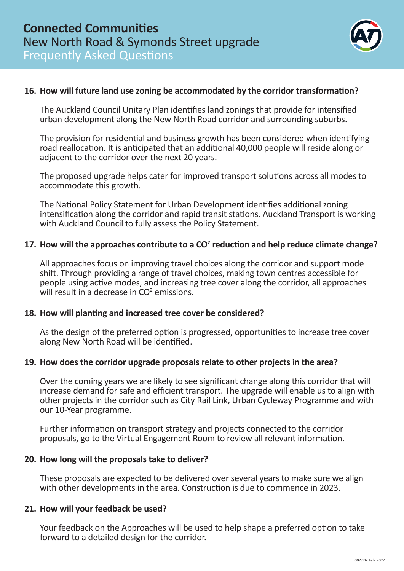

# **16. How will future land use zoning be accommodated by the corridor transformation?**

The Auckland Council Unitary Plan identifies land zonings that provide for intensified urban development along the New North Road corridor and surrounding suburbs.

The provision for residential and business growth has been considered when identifying road reallocation. It is anticipated that an additional 40,000 people will reside along or adjacent to the corridor over the next 20 years.

The proposed upgrade helps cater for improved transport solutions across all modes to accommodate this growth.

The National Policy Statement for Urban Development identifies additional zoning intensification along the corridor and rapid transit stations. Auckland Transport is working with Auckland Council to fully assess the Policy Statement.

# 17. How will the approaches contribute to a CO<sup>2</sup> reduction and help reduce climate change?

All approaches focus on improving travel choices along the corridor and support mode shift. Through providing a range of travel choices, making town centres accessible for people using active modes, and increasing tree cover along the corridor, all approaches will result in a decrease in  $CO<sup>2</sup>$  emissions.

### **18. How will planting and increased tree cover be considered?**

As the design of the preferred option is progressed, opportunities to increase tree cover along New North Road will be identified.

# **19. How does the corridor upgrade proposals relate to other projects in the area?**

Over the coming years we are likely to see significant change along this corridor that will increase demand for safe and efficient transport. The upgrade will enable us to align with other projects in the corridor such as City Rail Link, Urban Cycleway Programme and with our 10-Year programme.

Further information on transport strategy and projects connected to the corridor proposals, go to the Virtual Engagement Room to review all relevant information.

### **20. How long will the proposals take to deliver?**

These proposals are expected to be delivered over several years to make sure we align with other developments in the area. Construction is due to commence in 2023.

### **21. How will your feedback be used?**

Your feedback on the Approaches will be used to help shape a preferred option to take forward to a detailed design for the corridor.